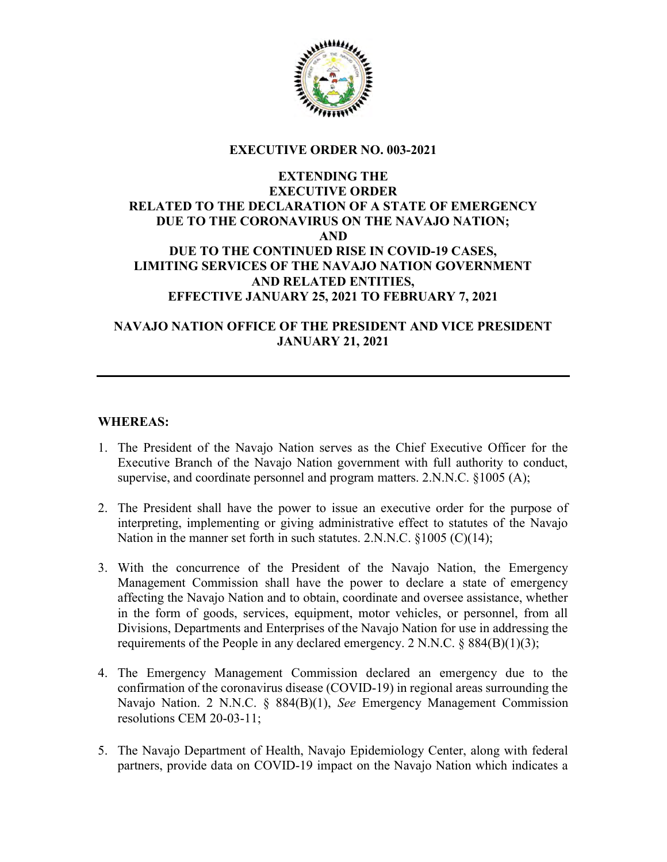

## EXECUTIVE ORDER NO. 003-2021

## EXTENDING THE EXECUTIVE ORDER RELATED TO THE DECLARATION OF A STATE OF EMERGENCY DUE TO THE CORONAVIRUS ON THE NAVAJO NATION; AND DUE TO THE CONTINUED RISE IN COVID-19 CASES, LIMITING SERVICES OF THE NAVAJO NATION GOVERNMENT AND RELATED ENTITIES, EFFECTIVE JANUARY 25, 2021 TO FEBRUARY 7, 2021

# NAVAJO NATION OFFICE OF THE PRESIDENT AND VICE PRESIDENT JANUARY 21, 2021

## WHEREAS:

- 1. The President of the Navajo Nation serves as the Chief Executive Officer for the Executive Branch of the Navajo Nation government with full authority to conduct, supervise, and coordinate personnel and program matters. 2.N.N.C. §1005 (A);
- 2. The President shall have the power to issue an executive order for the purpose of interpreting, implementing or giving administrative effect to statutes of the Navajo Nation in the manner set forth in such statutes. 2.N.N.C. §1005 (C)(14);
- 3. With the concurrence of the President of the Navajo Nation, the Emergency Management Commission shall have the power to declare a state of emergency affecting the Navajo Nation and to obtain, coordinate and oversee assistance, whether in the form of goods, services, equipment, motor vehicles, or personnel, from all Divisions, Departments and Enterprises of the Navajo Nation for use in addressing the requirements of the People in any declared emergency. 2 N.N.C.  $\S 884(B)(1)(3)$ ;
- 4. The Emergency Management Commission declared an emergency due to the confirmation of the coronavirus disease (COVID-19) in regional areas surrounding the Navajo Nation. 2 N.N.C. § 884(B)(1), See Emergency Management Commission resolutions CEM 20-03-11;
- 5. The Navajo Department of Health, Navajo Epidemiology Center, along with federal partners, provide data on COVID-19 impact on the Navajo Nation which indicates a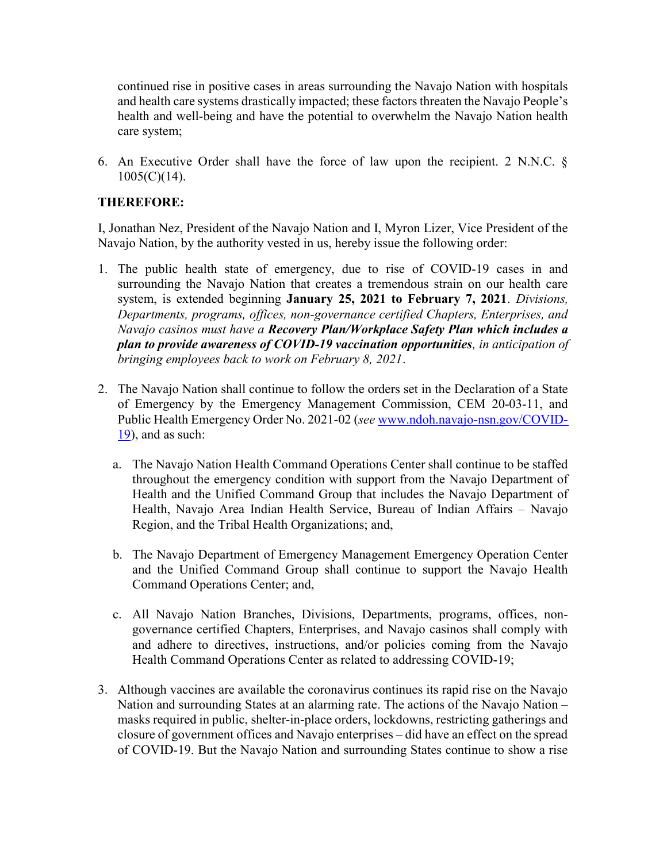continued rise in positive cases in areas surrounding the Navajo Nation with hospitals and health care systems drastically impacted; these factors threaten the Navajo People's health and well-being and have the potential to overwhelm the Navajo Nation health care system;

6. An Executive Order shall have the force of law upon the recipient. 2 N.N.C. § 1005(C)(14).

#### THEREFORE:

I, Jonathan Nez, President of the Navajo Nation and I, Myron Lizer, Vice President of the Navajo Nation, by the authority vested in us, hereby issue the following order:

- 1. The public health state of emergency, due to rise of COVID-19 cases in and surrounding the Navajo Nation that creates a tremendous strain on our health care system, is extended beginning January 25, 2021 to February 7, 2021. Divisions, Departments, programs, offices, non-governance certified Chapters, Enterprises, and Navajo casinos must have a Recovery Plan/Workplace Safety Plan which includes a plan to provide awareness of COVID-19 vaccination opportunities, in anticipation of bringing employees back to work on February 8, 2021.
- 2. The Navajo Nation shall continue to follow the orders set in the Declaration of a State of Emergency by the Emergency Management Commission, CEM 20-03-11, and Public Health Emergency Order No. 2021-02 (see www.ndoh.navajo-nsn.gov/COVID-19), and as such:
	- a. The Navajo Nation Health Command Operations Center shall continue to be staffed throughout the emergency condition with support from the Navajo Department of Health and the Unified Command Group that includes the Navajo Department of Health, Navajo Area Indian Health Service, Bureau of Indian Affairs – Navajo Region, and the Tribal Health Organizations; and,
	- b. The Navajo Department of Emergency Management Emergency Operation Center and the Unified Command Group shall continue to support the Navajo Health Command Operations Center; and,
	- c. All Navajo Nation Branches, Divisions, Departments, programs, offices, nongovernance certified Chapters, Enterprises, and Navajo casinos shall comply with and adhere to directives, instructions, and/or policies coming from the Navajo Health Command Operations Center as related to addressing COVID-19;
- 3. Although vaccines are available the coronavirus continues its rapid rise on the Navajo Nation and surrounding States at an alarming rate. The actions of the Navajo Nation – masks required in public, shelter-in-place orders, lockdowns, restricting gatherings and closure of government offices and Navajo enterprises – did have an effect on the spread of COVID-19. But the Navajo Nation and surrounding States continue to show a rise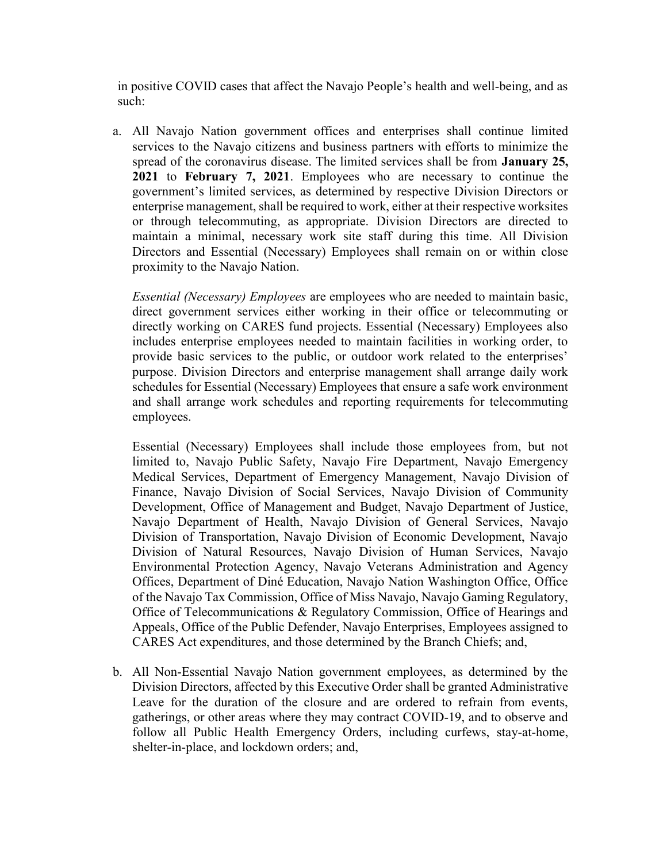in positive COVID cases that affect the Navajo People's health and well-being, and as such:

a. All Navajo Nation government offices and enterprises shall continue limited services to the Navajo citizens and business partners with efforts to minimize the spread of the coronavirus disease. The limited services shall be from January 25, 2021 to February 7, 2021. Employees who are necessary to continue the government's limited services, as determined by respective Division Directors or enterprise management, shall be required to work, either at their respective worksites or through telecommuting, as appropriate. Division Directors are directed to maintain a minimal, necessary work site staff during this time. All Division Directors and Essential (Necessary) Employees shall remain on or within close proximity to the Navajo Nation.

Essential (Necessary) Employees are employees who are needed to maintain basic, direct government services either working in their office or telecommuting or directly working on CARES fund projects. Essential (Necessary) Employees also includes enterprise employees needed to maintain facilities in working order, to provide basic services to the public, or outdoor work related to the enterprises' purpose. Division Directors and enterprise management shall arrange daily work schedules for Essential (Necessary) Employees that ensure a safe work environment and shall arrange work schedules and reporting requirements for telecommuting employees.

Essential (Necessary) Employees shall include those employees from, but not limited to, Navajo Public Safety, Navajo Fire Department, Navajo Emergency Medical Services, Department of Emergency Management, Navajo Division of Finance, Navajo Division of Social Services, Navajo Division of Community Development, Office of Management and Budget, Navajo Department of Justice, Navajo Department of Health, Navajo Division of General Services, Navajo Division of Transportation, Navajo Division of Economic Development, Navajo Division of Natural Resources, Navajo Division of Human Services, Navajo Environmental Protection Agency, Navajo Veterans Administration and Agency Offices, Department of Diné Education, Navajo Nation Washington Office, Office of the Navajo Tax Commission, Office of Miss Navajo, Navajo Gaming Regulatory, Office of Telecommunications & Regulatory Commission, Office of Hearings and Appeals, Office of the Public Defender, Navajo Enterprises, Employees assigned to CARES Act expenditures, and those determined by the Branch Chiefs; and,

b. All Non-Essential Navajo Nation government employees, as determined by the Division Directors, affected by this Executive Order shall be granted Administrative Leave for the duration of the closure and are ordered to refrain from events, gatherings, or other areas where they may contract COVID-19, and to observe and follow all Public Health Emergency Orders, including curfews, stay-at-home, shelter-in-place, and lockdown orders; and,